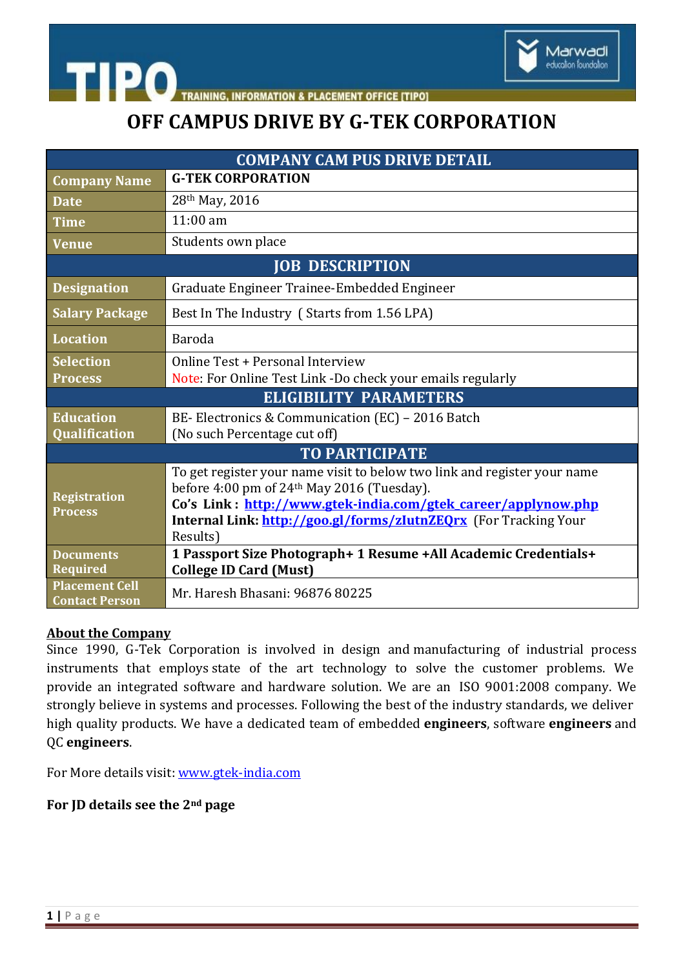

**ACEMENT OFFICE ITIPOI** 

# **OFF CAMPUS DRIVE BY G-TEK CORPORATION**

| <b>COMPANY CAM PUS DRIVE DETAIL</b>            |                                                                                                                                                                                                                                                                                     |
|------------------------------------------------|-------------------------------------------------------------------------------------------------------------------------------------------------------------------------------------------------------------------------------------------------------------------------------------|
| <b>Company Name</b>                            | <b>G-TEK CORPORATION</b>                                                                                                                                                                                                                                                            |
| <b>Date</b>                                    | 28th May, 2016                                                                                                                                                                                                                                                                      |
| <b>Time</b>                                    | $11:00$ am                                                                                                                                                                                                                                                                          |
| <b>Venue</b>                                   | Students own place                                                                                                                                                                                                                                                                  |
| <b>JOB DESCRIPTION</b>                         |                                                                                                                                                                                                                                                                                     |
| <b>Designation</b>                             | Graduate Engineer Trainee-Embedded Engineer                                                                                                                                                                                                                                         |
| <b>Salary Package</b>                          | Best In The Industry (Starts from 1.56 LPA)                                                                                                                                                                                                                                         |
| <b>Location</b>                                | Baroda                                                                                                                                                                                                                                                                              |
| <b>Selection</b><br><b>Process</b>             | Online Test + Personal Interview<br>Note: For Online Test Link -Do check your emails regularly                                                                                                                                                                                      |
| <b>ELIGIBILITY PARAMETERS</b>                  |                                                                                                                                                                                                                                                                                     |
| <b>Education</b><br>Qualification              | BE-Electronics & Communication (EC) - 2016 Batch<br>(No such Percentage cut off)                                                                                                                                                                                                    |
| <b>TO PARTICIPATE</b>                          |                                                                                                                                                                                                                                                                                     |
| <b>Registration</b><br><b>Process</b>          | To get register your name visit to below two link and register your name<br>before 4:00 pm of 24 <sup>th</sup> May 2016 (Tuesday).<br>Co's Link: http://www.gtek-india.com/gtek career/applynow.php<br>Internal Link: http://goo.gl/forms/zlutnZEQrx (For Tracking Your<br>Results) |
| <b>Documents</b><br><b>Required</b>            | 1 Passport Size Photograph+ 1 Resume +All Academic Credentials+                                                                                                                                                                                                                     |
| <b>Placement Cell</b><br><b>Contact Person</b> | <b>College ID Card (Must)</b><br>Mr. Haresh Bhasani: 96876 80225                                                                                                                                                                                                                    |

### **About the Company**

**TIPO** 

Since 1990, G-Tek Corporation is involved in design and manufacturing of industrial process instruments that employs state of the art technology to solve the customer problems. We provide an integrated software and hardware solution. We are an ISO 9001:2008 company. We strongly believe in systems and processes. Following the best of the industry standards, we deliver high quality products. We have a dedicated team of embedded **engineers**, software **engineers** and QC **engineers**.

For More details visit: [www.gtek-india.com](http://www.gtek-india.com/)

### **For JD details see the 2nd page**